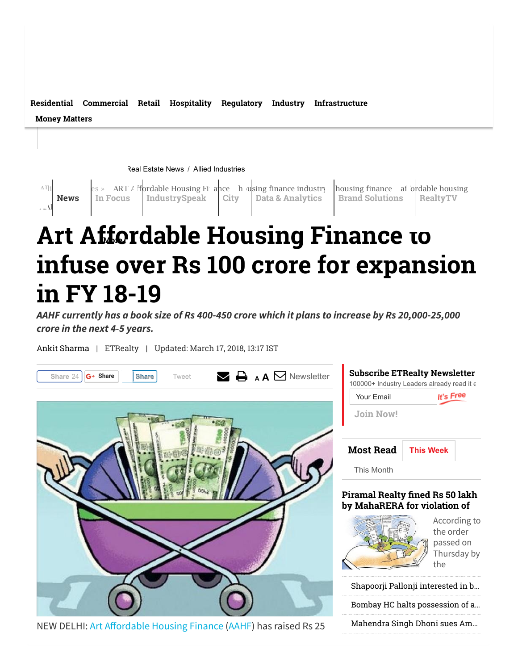## [Residential](https://realty.economictimes.indiatimes.com/news/residential) [Commercial](https://realty.economictimes.indiatimes.com/news/commercial) [Retail](https://realty.economictimes.indiatimes.com/news/retail) [Hospitality](https://realty.economictimes.indiatimes.com/news/hospitality) [Regulatory](https://realty.economictimes.indiatimes.com/news/regulatory) [Industry](https://realty.economictimes.indiatimes.com/news/industry) [Infrastructure](https://realty.economictimes.indiatimes.com/news/infrastructure) [M](https://realty.economictimes.indiatimes.com/tag/money+matters)[oney Matters](http://googleads.g.doubleclick.net/pcs/click?xai=AKAOjsvc_QaIbmejPp7klcQ-V3GEfpfZLiIvUDL9ClGqIIgqsrAFTPzK0mxTpg-LkI5fjoUDf62nqAtIykx33nXBEEoZcRSXlgWXb6qk4A1RlIIuDi3t6K9sakVjdZmAXxthKx5VA0wyZthhFUw_dEWhlaMULD7TDQ_oBj-mx9jJPEGiXbO5LcZLveB_Y25yqrKYgrNN_yOV9KGC118kBI25xUCf0HQmvaLRojUQhZBuhOBiSkgk476b-EhkPu-wkQOfeXOmu4hMX73sX9FXFdE1Li_fZ7fxBLJ15FLnlS6siblPrgj1drb6vv8e&sig=Cg0ArKJSzE4qLYbIwppR&adurl=http://ajmeraprojects.com/%3FCampaign%3DTimes_Desktop%26Device%3DDesktop%26utm_source%3DTimes%26utm_medium%3DCPC%26utm_campaign%3DAjmera%26adedmpdxirsmeips%3D943698922831&nm=6)

[Real Estate News](https://realty.economictimes.indiatimes.com/) / [Allied Industries](https://realty.economictimes.indiatimes.com/news/allied-industries)



## Art [Affor](javascript:void(0);)dable Housing Finance to infuse over Rs 100 crore for expansion in FY 18-19

AAHF currently has a book size of Rs 400-450 crore which it plans to increase by Rs 20,000-25,000 crore in the next 4-5 years.

[Ankit Sharma](https://realty.economictimes.indiatimes.com/author/479246554/ankit-sharma) | ETRealty | Updated: March 17, 2018, 13:17 IST